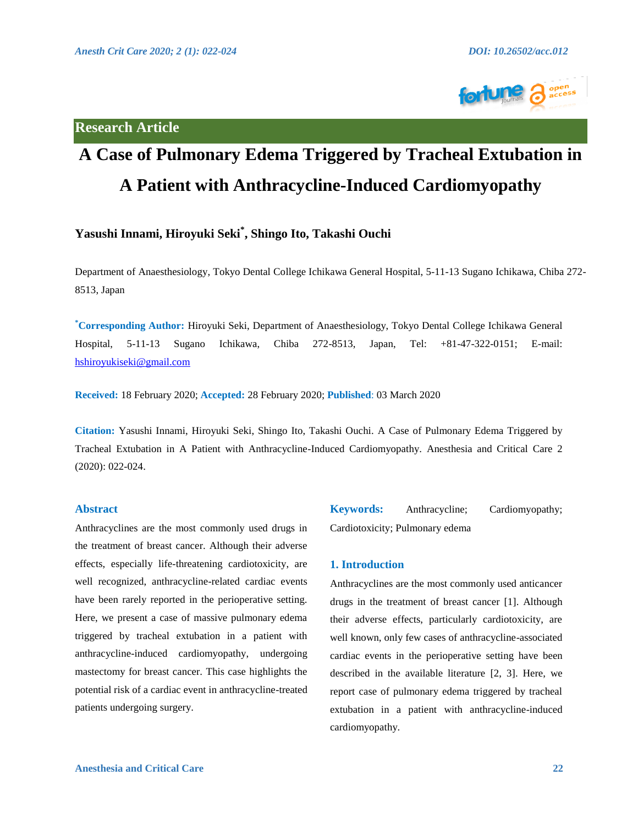## **Research Article**

# **A Case of Pulmonary Edema Triggered by Tracheal Extubation in A Patient with Anthracycline-Induced Cardiomyopathy**

# **Yasushi Innami, Hiroyuki Seki\* , Shingo Ito, Takashi Ouchi**

Department of Anaesthesiology, Tokyo Dental College Ichikawa General Hospital, 5-11-13 Sugano Ichikawa, Chiba 272- 8513, Japan

**\*Corresponding Author:** Hiroyuki Seki, Department of Anaesthesiology, Tokyo Dental College Ichikawa General Hospital, 5-11-13 Sugano Ichikawa, Chiba 272-8513, Japan, Tel: +81-47-322-0151; E-mail: [hshiroyukiseki@gmail.com](mailto:hshiroyukiseki@gmail.com)

**Received:** 18 February 2020; **Accepted:** 28 February 2020; **Published**: 03 March 2020

**Citation:** Yasushi Innami, Hiroyuki Seki, Shingo Ito, Takashi Ouchi. A Case of Pulmonary Edema Triggered by Tracheal Extubation in A Patient with Anthracycline-Induced Cardiomyopathy. Anesthesia and Critical Care 2 (2020): 022-024.

#### **Abstract**

Anthracyclines are the most commonly used drugs in the treatment of breast cancer. Although their adverse effects, especially life-threatening cardiotoxicity, are well recognized, anthracycline-related cardiac events have been rarely reported in the perioperative setting. Here, we present a case of massive pulmonary edema triggered by tracheal extubation in a patient with anthracycline-induced cardiomyopathy, undergoing mastectomy for breast cancer. This case highlights the potential risk of a cardiac event in anthracycline-treated patients undergoing surgery.

**Keywords:** Anthracycline; Cardiomyopathy; Cardiotoxicity; Pulmonary edema

#### **1. Introduction**

Anthracyclines are the most commonly used anticancer drugs in the treatment of breast cancer [1]. Although their adverse effects, particularly cardiotoxicity, are well known, only few cases of anthracycline-associated cardiac events in the perioperative setting have been described in the available literature [2, 3]. Here, we report case of pulmonary edema triggered by tracheal extubation in a patient with anthracycline-induced cardiomyopathy.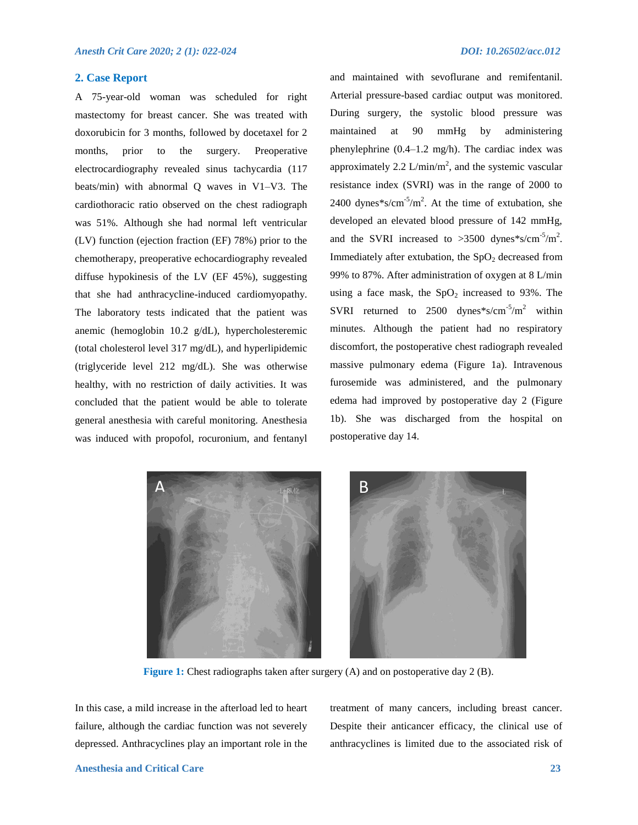#### **2. Case Report**

A 75-year-old woman was scheduled for right mastectomy for breast cancer. She was treated with doxorubicin for 3 months, followed by docetaxel for 2 months, prior to the surgery. Preoperative electrocardiography revealed sinus tachycardia (117 beats/min) with abnormal Q waves in V1–V3. The cardiothoracic ratio observed on the chest radiograph was 51%. Although she had normal left ventricular (LV) function (ejection fraction (EF) 78%) prior to the chemotherapy, preoperative echocardiography revealed diffuse hypokinesis of the LV (EF 45%), suggesting that she had anthracycline-induced cardiomyopathy. The laboratory tests indicated that the patient was anemic (hemoglobin 10.2 g/dL), hypercholesteremic (total cholesterol level 317 mg/dL), and hyperlipidemic (triglyceride level 212 mg/dL). She was otherwise healthy, with no restriction of daily activities. It was concluded that the patient would be able to tolerate general anesthesia with careful monitoring. Anesthesia was induced with propofol, rocuronium, and fentanyl

and maintained with sevoflurane and remifentanil. Arterial pressure-based cardiac output was monitored. During surgery, the systolic blood pressure was maintained at 90 mmHg by administering phenylephrine (0.4–1.2 mg/h). The cardiac index was approximately 2.2 L/min/m<sup>2</sup>, and the systemic vascular resistance index (SVRI) was in the range of 2000 to 2400 dynes\*s/cm<sup>-5</sup>/m<sup>2</sup>. At the time of extubation, she developed an elevated blood pressure of 142 mmHg, and the SVRI increased to  $>3500$  dynes\*s/cm<sup>-5</sup>/m<sup>2</sup>. Immediately after extubation, the  $SpO<sub>2</sub>$  decreased from 99% to 87%. After administration of oxygen at 8 L/min using a face mask, the  $SpO<sub>2</sub>$  increased to 93%. The SVRI returned to  $2500 \, \text{dynes}^*s/\text{cm}^2/\text{m}^2$  within minutes. Although the patient had no respiratory discomfort, the postoperative chest radiograph revealed massive pulmonary edema (Figure 1a). Intravenous furosemide was administered, and the pulmonary edema had improved by postoperative day 2 (Figure 1b). She was discharged from the hospital on postoperative day 14.



**Figure 1:** Chest radiographs taken after surgery (A) and on postoperative day 2 (B).

In this case, a mild increase in the afterload led to heart failure, although the cardiac function was not severely depressed. Anthracyclines play an important role in the

treatment of many cancers, including breast cancer. Despite their anticancer efficacy, the clinical use of anthracyclines is limited due to the associated risk of

**Anesthesia and Critical Care 23**